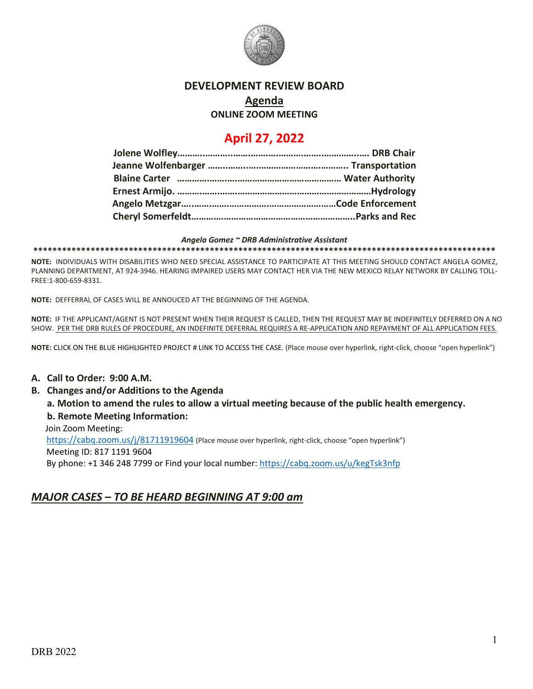

## **DEVELOPMENT REVIEW BOARD**

#### **Agenda**

#### **ONLINE ZOOM MEETING**

# **April 27, 2022**

*Angela Gomez ~ DRB Administrative Assistant* **\*\*\*\*\*\*\*\*\*\*\*\*\*\*\*\*\*\*\*\*\*\*\*\*\*\*\*\*\*\*\*\*\*\*\*\*\*\*\*\*\*\*\*\*\*\*\*\*\*\*\*\*\*\*\*\*\*\*\*\*\*\*\*\*\*\*\*\*\*\*\*\*\*\*\*\*\*\*\*\*\*\*\*\*\*\*\*\*\*\*\*\*\*\*\*\*\***

**NOTE:** INDIVIDUALS WITH DISABILITIES WHO NEED SPECIAL ASSISTANCE TO PARTICIPATE AT THIS MEETING SHOULD CONTACT ANGELA GOMEZ, PLANNING DEPARTMENT, AT 924-3946. HEARING IMPAIRED USERS MAY CONTACT HER VIA THE NEW MEXICO RELAY NETWORK BY CALLING TOLL-FREE:1-800-659-8331.

**NOTE:** DEFFERRAL OF CASES WILL BE ANNOUCED AT THE BEGINNING OF THE AGENDA.

**NOTE:** IF THE APPLICANT/AGENT IS NOT PRESENT WHEN THEIR REQUEST IS CALLED, THEN THE REQUEST MAY BE INDEFINITELY DEFERRED ON A NO SHOW. PER THE DRB RULES OF PROCEDURE, AN INDEFINITE DEFERRAL REQUIRES A RE-APPLICATION AND REPAYMENT OF ALL APPLICATION FEES.

**NOTE:** CLICK ON THE BLUE HIGHLIGHTED PROJECT # LINK TO ACCESS THE CASE. (Place mouse over hyperlink, right-click, choose "open hyperlink")

### **A. Call to Order: 9:00 A.M.**

### **B. Changes and/or Additions to the Agenda**

**a. Motion to amend the rules to allow a virtual meeting because of the public health emergency. b. Remote Meeting Information:** 

Join Zoom Meeting:

 <https://cabq.zoom.us/j/81711919604> (Place mouse over hyperlink, right-click, choose "open hyperlink") Meeting ID: 817 1191 9604 By phone: +1 346 248 7799 or Find your local number:<https://cabq.zoom.us/u/kegTsk3nfp>

## *MAJOR CASES – TO BE HEARD BEGINNING AT 9:00 am*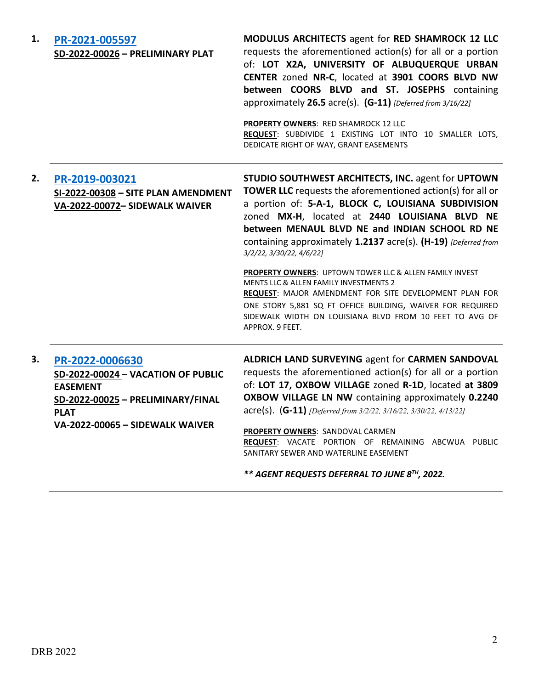| 1. | PR-2021-005597<br>SD-2022-00026 - PRELIMINARY PLAT                                                                                                              | MODULUS ARCHITECTS agent for RED SHAMROCK 12 LLC<br>requests the aforementioned action(s) for all or a portion<br>of: LOT X2A, UNIVERSITY OF ALBUQUERQUE URBAN<br>CENTER zoned NR-C, located at 3901 COORS BLVD NW<br>between COORS BLVD and ST. JOSEPHS containing<br>approximately 26.5 acre(s). (G-11) [Deferred from 3/16/22]<br>PROPERTY OWNERS: RED SHAMROCK 12 LLC<br>REQUEST: SUBDIVIDE 1 EXISTING LOT INTO 10 SMALLER LOTS,<br>DEDICATE RIGHT OF WAY, GRANT EASEMENTS |
|----|-----------------------------------------------------------------------------------------------------------------------------------------------------------------|--------------------------------------------------------------------------------------------------------------------------------------------------------------------------------------------------------------------------------------------------------------------------------------------------------------------------------------------------------------------------------------------------------------------------------------------------------------------------------|
| 2. | PR-2019-003021<br>SI-2022-00308 - SITE PLAN AMENDMENT<br>VA-2022-00072- SIDEWALK WAIVER                                                                         | STUDIO SOUTHWEST ARCHITECTS, INC. agent for UPTOWN<br><b>TOWER LLC</b> requests the aforementioned action(s) for all or<br>a portion of: 5-A-1, BLOCK C, LOUISIANA SUBDIVISION<br>zoned MX-H, located at 2440 LOUISIANA BLVD NE<br>between MENAUL BLVD NE and INDIAN SCHOOL RD NE<br>containing approximately 1.2137 acre(s). (H-19) [Deferred from<br>3/2/22, 3/30/22, 4/6/22]                                                                                                |
|    |                                                                                                                                                                 | PROPERTY OWNERS: UPTOWN TOWER LLC & ALLEN FAMILY INVEST<br>MENTS LLC & ALLEN FAMILY INVESTMENTS 2<br>REQUEST: MAJOR AMENDMENT FOR SITE DEVELOPMENT PLAN FOR<br>ONE STORY 5,881 SQ FT OFFICE BUILDING, WAIVER FOR REQUIRED<br>SIDEWALK WIDTH ON LOUISIANA BLVD FROM 10 FEET TO AVG OF<br>APPROX. 9 FEET.                                                                                                                                                                        |
| 3. | PR-2022-0006630<br>SD-2022-00024 - VACATION OF PUBLIC<br><b>EASEMENT</b><br>SD-2022-00025 - PRELIMINARY/FINAL<br><b>PLAT</b><br>VA-2022-00065 - SIDEWALK WAIVER | ALDRICH LAND SURVEYING agent for CARMEN SANDOVAL<br>requests the aforementioned action(s) for all or a portion<br>of: LOT 17, OXBOW VILLAGE zoned R-1D, located at 3809<br>OXBOW VILLAGE LN NW containing approximately 0.2240<br>$\text{acre(s)}.$ (G-11) [Deferred from 3/2/22, 3/16/22, 3/30/22, 4/13/22]<br>PROPERTY OWNERS: SANDOVAL CARMEN<br>REQUEST: VACATE PORTION OF REMAINING ABCWUA PUBLIC<br>SANITARY SEWER AND WATERLINE EASEMENT                                |

*\*\* AGENT REQUESTS DEFERRAL TO JUNE 8TH, 2022.*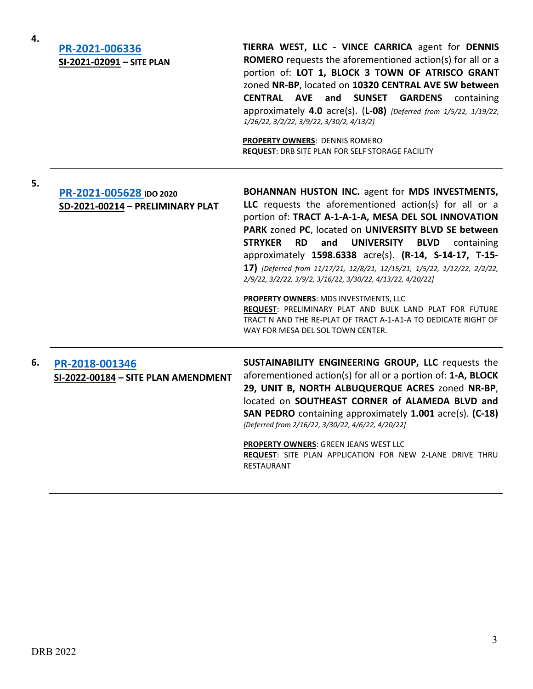| 4. |                                                       |                                                                                                                                                                                                                                                                                                                                                                                                                                                                                                           |
|----|-------------------------------------------------------|-----------------------------------------------------------------------------------------------------------------------------------------------------------------------------------------------------------------------------------------------------------------------------------------------------------------------------------------------------------------------------------------------------------------------------------------------------------------------------------------------------------|
|    | PR-2021-006336<br>SI-2021-02091 - SITE PLAN           | TIERRA WEST, LLC - VINCE CARRICA agent for DENNIS<br><b>ROMERO</b> requests the aforementioned action(s) for all or a<br>portion of: LOT 1, BLOCK 3 TOWN OF ATRISCO GRANT<br>zoned NR-BP, located on 10320 CENTRAL AVE SW between<br><b>CENTRAL AVE</b><br>and SUNSET GARDENS<br>containing<br>approximately 4.0 acre(s). (L-08) [Deferred from 1/5/22, 1/19/22,<br>1/26/22, 3/2/22, 3/9/22, 3/30/2, 4/13/2]<br><b>PROPERTY OWNERS: DENNIS ROMERO</b><br>REQUEST: DRB SITE PLAN FOR SELF STORAGE FACILITY |
| 5. | PR-2021-005628 IDO 2020                               | <b>BOHANNAN HUSTON INC.</b> agent for MDS INVESTMENTS,                                                                                                                                                                                                                                                                                                                                                                                                                                                    |
|    | SD-2021-00214 - PRELIMINARY PLAT                      | LLC requests the aforementioned action(s) for all or a<br>portion of: TRACT A-1-A-1-A, MESA DEL SOL INNOVATION<br>PARK zoned PC, located on UNIVERSITY BLVD SE between<br><b>RD</b><br><b>STRYKER</b><br>and<br><b>UNIVERSITY</b><br><b>BLVD</b><br>containing<br>approximately 1598.6338 acre(s). (R-14, S-14-17, T-15-<br>17) [Deferred from 11/17/21, 12/8/21, 12/15/21, 1/5/22, 1/12/22, 2/2/22,<br>2/9/22, 3/2/22, 3/9/2, 3/16/22, 3/30/22, 4/13/22, 4/20/22]                                        |
|    |                                                       | PROPERTY OWNERS: MDS INVESTMENTS, LLC<br>REQUEST: PRELIMINARY PLAT AND BULK LAND PLAT FOR FUTURE<br>TRACT N AND THE RE-PLAT OF TRACT A-1-A1-A TO DEDICATE RIGHT OF<br>WAY FOR MESA DEL SOL TOWN CENTER.                                                                                                                                                                                                                                                                                                   |
| 6. | PR-2018-001346<br>SI-2022-00184 - SITE PLAN AMENDMENT | SUSTAINABILITY ENGINEERING GROUP, LLC requests the<br>aforementioned action(s) for all or a portion of: 1-A, BLOCK<br>29, UNIT B, NORTH ALBUQUERQUE ACRES zoned NR-BP,<br>located on SOUTHEAST CORNER of ALAMEDA BLVD and<br>SAN PEDRO containing approximately 1.001 acre(s). (C-18)<br>[Deferred from 2/16/22, 3/30/22, 4/6/22, 4/20/22]                                                                                                                                                                |
|    |                                                       | PROPERTY OWNERS: GREEN JEANS WEST LLC<br>REQUEST: SITE PLAN APPLICATION FOR NEW 2-LANE DRIVE THRU<br><b>RESTAURANT</b>                                                                                                                                                                                                                                                                                                                                                                                    |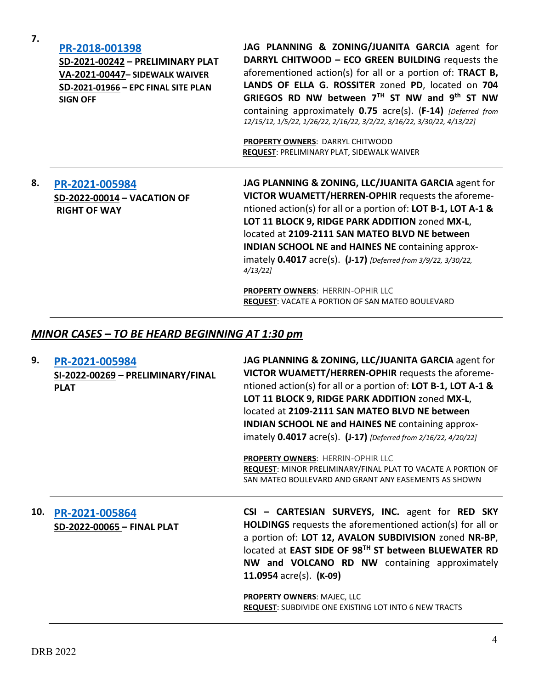|     | SD-2021-00242 - PRELIMINARY PLAT<br>VA-2021-00447- SIDEWALK WAIVER<br>SD-2021-01966 - EPC FINAL SITE PLAN<br><b>SIGN OFF</b> | DARRYL CHITWOOD - ECO GREEN BUILDING requests the<br>aforementioned action(s) for all or a portion of: TRACT B,<br>LANDS OF ELLA G. ROSSITER zoned PD, located on 704<br>GRIEGOS RD NW between 7TH ST NW and 9th ST NW<br>containing approximately 0.75 acre(s). (F-14) [Deferred from<br>12/15/12, 1/5/22, 1/26/22, 2/16/22, 3/2/22, 3/16/22, 3/30/22, 4/13/22]                                                     |
|-----|------------------------------------------------------------------------------------------------------------------------------|----------------------------------------------------------------------------------------------------------------------------------------------------------------------------------------------------------------------------------------------------------------------------------------------------------------------------------------------------------------------------------------------------------------------|
|     |                                                                                                                              | PROPERTY OWNERS: DARRYL CHITWOOD<br>REQUEST: PRELIMINARY PLAT, SIDEWALK WAIVER                                                                                                                                                                                                                                                                                                                                       |
| 8.  | PR-2021-005984<br>SD-2022-00014 - VACATION OF<br><b>RIGHT OF WAY</b>                                                         | JAG PLANNING & ZONING, LLC/JUANITA GARCIA agent for<br>VICTOR WUAMETT/HERREN-OPHIR requests the aforeme-<br>ntioned action(s) for all or a portion of: LOT B-1, LOT A-1 &<br>LOT 11 BLOCK 9, RIDGE PARK ADDITION zoned MX-L,<br>located at 2109-2111 SAN MATEO BLVD NE between<br>INDIAN SCHOOL NE and HAINES NE containing approx-<br>imately 0.4017 acre(s). (J-17) [Deferred from 3/9/22, 3/30/22,<br>$4/13/22$ ] |
|     |                                                                                                                              | PROPERTY OWNERS: HERRIN-OPHIR LLC<br><b>REQUEST: VACATE A PORTION OF SAN MATEO BOULEVARD</b>                                                                                                                                                                                                                                                                                                                         |
|     | MINOR CASES - TO BE HEARD BEGINNING AT 1:30 pm                                                                               |                                                                                                                                                                                                                                                                                                                                                                                                                      |
| 9.  | PR-2021-005984<br>SI-2022-00269 - PRELIMINARY/FINAL<br><b>PLAT</b>                                                           | JAG PLANNING & ZONING, LLC/JUANITA GARCIA agent for<br>VICTOR WUAMETT/HERREN-OPHIR requests the aforeme-<br>ntioned action(s) for all or a portion of: LOT B-1, LOT A-1 &<br>LOT 11 BLOCK 9, RIDGE PARK ADDITION zoned MX-L,<br>located at 2109-2111 SAN MATEO BLVD NE between<br><b>INDIAN SCHOOL NE and HAINES NE containing approx-</b><br>imately 0.4017 acre(s). (J-17) [Deferred from 2/16/22, 4/20/22]        |
|     |                                                                                                                              | <b>PROPERTY OWNERS: HERRIN-OPHIR LLC</b><br>REQUEST: MINOR PRELIMINARY/FINAL PLAT TO VACATE A PORTION OF<br>SAN MATEO BOULEVARD AND GRANT ANY EASEMENTS AS SHOWN                                                                                                                                                                                                                                                     |
| 10. | PR-2021-005864<br>SD-2022-00065 - FINAL PLAT                                                                                 | CSI - CARTESIAN SURVEYS, INC. agent for RED SKY<br>HOLDINGS requests the aforementioned action(s) for all or<br>a portion of: LOT 12, AVALON SUBDIVISION zoned NR-BP,<br>located at EAST SIDE OF 98TH ST between BLUEWATER RD<br>NW and VOLCANO RD NW containing approximately                                                                                                                                       |

**PROPERTY OWNERS**: MAJEC, LLC **REQUEST**: SUBDIVIDE ONE EXISTING LOT INTO 6 NEW TRACTS

**11.0954** acre(s). **(K-09)**

**JAG PLANNING & ZONING/JUANITA GARCIA** agent for

**7.**

**[PR-2018-001398](http://data.cabq.gov/government/planning/DRB/PR-2018-001398/DRB%20Submittals/)**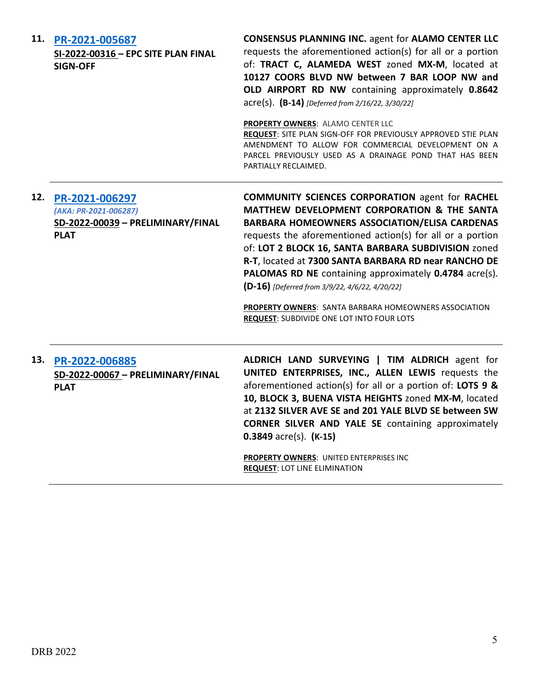| 11. | PR-2021-005687<br>SI-2022-00316 - EPC SITE PLAN FINAL<br><b>SIGN-OFF</b>                        | <b>CONSENSUS PLANNING INC. agent for ALAMO CENTER LLC</b><br>requests the aforementioned action(s) for all or a portion<br>of: TRACT C, ALAMEDA WEST zoned MX-M, located at<br>10127 COORS BLVD NW between 7 BAR LOOP NW and<br>OLD AIRPORT RD NW containing approximately 0.8642<br>acre(s). (B-14) [Deferred from 2/16/22, 3/30/22]<br>PROPERTY OWNERS: ALAMO CENTER LLC<br>REQUEST: SITE PLAN SIGN-OFF FOR PREVIOUSLY APPROVED STIE PLAN<br>AMENDMENT TO ALLOW FOR COMMERCIAL DEVELOPMENT ON A<br>PARCEL PREVIOUSLY USED AS A DRAINAGE POND THAT HAS BEEN<br>PARTIALLY RECLAIMED. |
|-----|-------------------------------------------------------------------------------------------------|--------------------------------------------------------------------------------------------------------------------------------------------------------------------------------------------------------------------------------------------------------------------------------------------------------------------------------------------------------------------------------------------------------------------------------------------------------------------------------------------------------------------------------------------------------------------------------------|
|     | 12. PR-2021-006297<br>(AKA: PR-2021-006287)<br>SD-2022-00039 - PRELIMINARY/FINAL<br><b>PLAT</b> | <b>COMMUNITY SCIENCES CORPORATION agent for RACHEL</b><br>MATTHEW DEVELOPMENT CORPORATION & THE SANTA<br><b>BARBARA HOMEOWNERS ASSOCIATION/ELISA CARDENAS</b><br>requests the aforementioned action(s) for all or a portion<br>of: LOT 2 BLOCK 16, SANTA BARBARA SUBDIVISION zoned<br>R-T, located at 7300 SANTA BARBARA RD near RANCHO DE<br>PALOMAS RD NE containing approximately 0.4784 acre(s).<br>(D-16) [Deferred from 3/9/22, 4/6/22, 4/20/22]<br><b>PROPERTY OWNERS:</b> SANTA BARBARA HOMEOWNERS ASSOCIATION<br>REQUEST: SUBDIVIDE ONE LOT INTO FOUR LOTS                  |
|     | 13. PR-2022-006885<br>SD-2022-00067 - PRELIMINARY/FINAL<br><b>PLAT</b>                          | ALDRICH LAND SURVEYING   TIM ALDRICH agent for<br>UNITED ENTERPRISES, INC., ALLEN LEWIS requests the<br>aforementioned action(s) for all or a portion of: LOTS 9 &<br>10, BLOCK 3, BUENA VISTA HEIGHTS zoned MX-M, located<br>at 2132 SILVER AVE SE and 201 YALE BLVD SE between SW<br><b>CORNER SILVER AND YALE SE</b> containing approximately<br>$0.3849$ acre(s). (K-15)<br>PROPERTY OWNERS: UNITED ENTERPRISES INC<br><b>REQUEST: LOT LINE ELIMINATION</b>                                                                                                                      |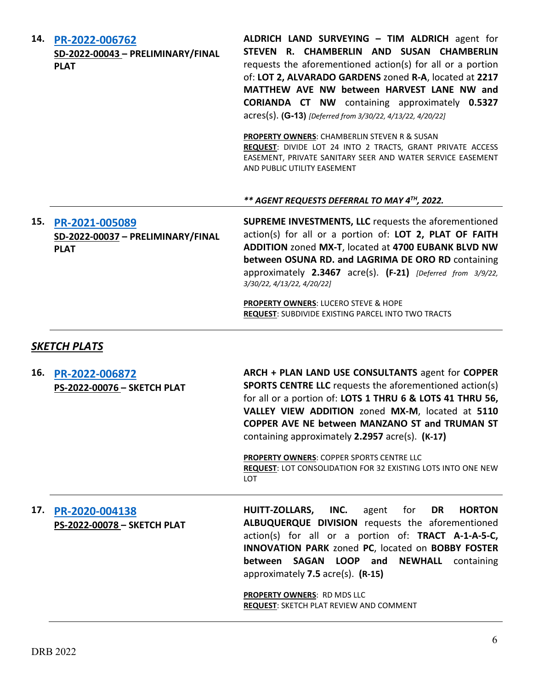|     | 14. PR-2022-006762<br>SD-2022-00043 - PRELIMINARY/FINAL<br><b>PLAT</b> | ALDRICH LAND SURVEYING - TIM ALDRICH agent for<br>STEVEN R. CHAMBERLIN AND SUSAN CHAMBERLIN<br>requests the aforementioned action(s) for all or a portion<br>of: LOT 2, ALVARADO GARDENS zoned R-A, located at 2217<br>MATTHEW AVE NW between HARVEST LANE NW and<br><b>CORIANDA CT NW</b> containing approximately 0.5327<br>acres(s). (G-13) [Deferred from 3/30/22, 4/13/22, 4/20/22]<br><b>PROPERTY OWNERS: CHAMBERLIN STEVEN R &amp; SUSAN</b><br>REQUEST: DIVIDE LOT 24 INTO 2 TRACTS, GRANT PRIVATE ACCESS<br>EASEMENT, PRIVATE SANITARY SEER AND WATER SERVICE EASEMENT<br>AND PUBLIC UTILITY EASEMENT |
|-----|------------------------------------------------------------------------|----------------------------------------------------------------------------------------------------------------------------------------------------------------------------------------------------------------------------------------------------------------------------------------------------------------------------------------------------------------------------------------------------------------------------------------------------------------------------------------------------------------------------------------------------------------------------------------------------------------|
|     |                                                                        | ** AGENT REQUESTS DEFERRAL TO MAY 4 <sup>TH</sup> , 2022.                                                                                                                                                                                                                                                                                                                                                                                                                                                                                                                                                      |
|     | 15. PR-2021-005089<br>SD-2022-00037 - PRELIMINARY/FINAL<br><b>PLAT</b> | <b>SUPREME INVESTMENTS, LLC</b> requests the aforementioned<br>action(s) for all or a portion of: LOT 2, PLAT OF FAITH<br>ADDITION zoned MX-T, located at 4700 EUBANK BLVD NW<br>between OSUNA RD. and LAGRIMA DE ORO RD containing<br>approximately 2.3467 acre(s). (F-21) [Deferred from 3/9/22,<br>3/30/22, 4/13/22, 4/20/22]                                                                                                                                                                                                                                                                               |
|     |                                                                        | <b>PROPERTY OWNERS: LUCERO STEVE &amp; HOPE</b><br><b>REQUEST: SUBDIVIDE EXISTING PARCEL INTO TWO TRACTS</b>                                                                                                                                                                                                                                                                                                                                                                                                                                                                                                   |
|     | <b>SKETCH PLATS</b>                                                    |                                                                                                                                                                                                                                                                                                                                                                                                                                                                                                                                                                                                                |
| 16. | PR-2022-006872<br>PS-2022-00076 - SKETCH PLAT                          | ARCH + PLAN LAND USE CONSULTANTS agent for COPPER<br><b>SPORTS CENTRE LLC</b> requests the aforementioned action(s)<br>for all or a portion of: LOTS 1 THRU 6 & LOTS 41 THRU 56,<br>VALLEY VIEW ADDITION zoned MX-M, located at 5110<br>COPPER AVE NE between MANZANO ST and TRUMAN ST<br>containing approximately 2.2957 acre(s). (K-17)<br>PROPERTY OWNERS: COPPER SPORTS CENTRE LLC<br>REQUEST: LOT CONSOLIDATION FOR 32 EXISTING LOTS INTO ONE NEW<br><b>LOT</b>                                                                                                                                           |
| 17. | PR-2020-004138<br>PS-2022-00078 - SKETCH PLAT                          | <b>HUITT-ZOLLARS,</b><br>INC.<br>for<br>DR<br><b>HORTON</b><br>agent<br>ALBUQUERQUE DIVISION requests the aforementioned<br>action(s) for all or a portion of: TRACT A-1-A-5-C,<br>INNOVATION PARK zoned PC, located on BOBBY FOSTER<br>between<br>SAGAN LOOP and<br><b>NEWHALL</b><br>containing<br>approximately 7.5 acre(s). (R-15)<br><b>PROPERTY OWNERS: RD MDS LLC</b><br>REQUEST: SKETCH PLAT REVIEW AND COMMENT                                                                                                                                                                                        |